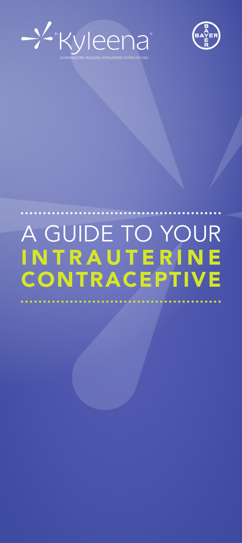



# A GUIDE TO YOUR **INTRAUTERINE CONTRACEPTIVE**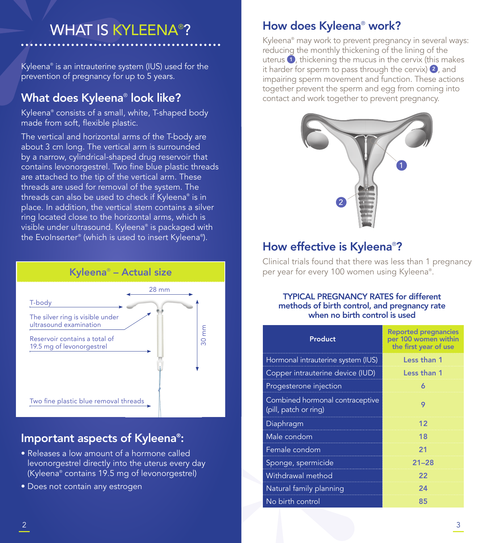# WHAT IS KYLEENA® ?

Kyleena® is an intrauterine system (IUS) used for the prevention of pregnancy for up to 5 years.

# What does Kyleena® look like?

Kyleena® consists of a small, white, T-shaped body made from soft, flexible plastic.

The vertical and horizontal arms of the T-body are about 3 cm long. The vertical arm is surrounded by a narrow, cylindrical-shaped drug reservoir that contains levonorgestrel. Two fine blue plastic threads are attached to the tip of the vertical arm. These threads are used for removal of the system. The threads can also be used to check if Kyleena® is in place. In addition, the vertical stem contains a silver ring located close to the horizontal arms, which is visible under ultrasound. Kyleena® is packaged with the EvoInserter® (which is used to insert Kyleena® ).



## Important aspects of Kyleena® :

- Releases a low amount of a hormone called levonorgestrel directly into the uterus every day (Kyleena® contains 19.5 mg of levonorgestrel)
- Does not contain any estrogen

### How does Kyleena® work?

Kyleena® may work to prevent pregnancy in several ways: reducing the monthly thickening of the lining of the uterus  $\bullet$ , thickening the mucus in the cervix (this makes it harder for sperm to pass through the cervix)  $\bullet$ , and impairing sperm movement and function. These actions together prevent the sperm and egg from coming into contact and work together to prevent pregnancy.



# How effective is Kyleena®?

Clinical trials found that there was less than 1 pregnancy per year for every 100 women using Kyleena®.

### TYPICAL PREGNANCY RATES for different methods of birth control, and pregnancy rate when no birth control is used

| <b>Product</b>                                           | <b>Reported pregnancies</b><br>per 100 women within<br>the first year of use |
|----------------------------------------------------------|------------------------------------------------------------------------------|
| Hormonal intrauterine system (IUS)                       | Less than 1                                                                  |
| Copper intrauterine device (IUD)                         | Less than 1                                                                  |
| Progesterone injection                                   | 6                                                                            |
| Combined hormonal contraceptive<br>(pill, patch or ring) | 9                                                                            |
| Diaphragm                                                | 12                                                                           |
| Male condom                                              | 18                                                                           |
| Female condom                                            | 21                                                                           |
| Sponge, spermicide                                       | $21 - 28$                                                                    |
| Withdrawal method                                        | 22                                                                           |
| Natural family planning                                  | 24                                                                           |
| No birth control                                         | 85                                                                           |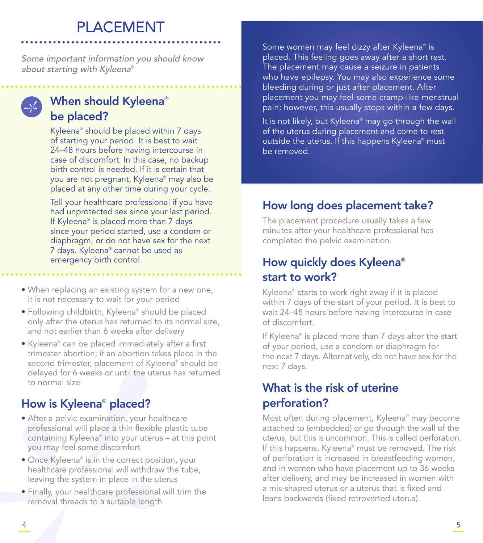# PLACEMENT

Some important information you should know about starting with Kyleena®

## When should Kyleena® be placed?

Kyleena® should be placed within 7 days of starting your period. It is best to wait 24–48 hours before having intercourse in case of discomfort. In this case, no backup birth control is needed. If it is certain that you are not pregnant, Kyleena® may also be placed at any other time during your cycle.

Tell your healthcare professional if you have had unprotected sex since your last period. If Kyleena® is placed more than 7 days since your period started, use a condom or diaphragm, or do not have sex for the next 7 days. Kyleena® cannot be used as emergency birth control.

- When replacing an existing system for a new one, it is not necessary to wait for your period
- Following childbirth, Kyleena® should be placed only after the uterus has returned to its normal size, and not earlier than 6 weeks after delivery
- Kyleena® can be placed immediately after a first trimester abortion; if an abortion takes place in the second trimester, placement of Kyleena® should be delayed for 6 weeks or until the uterus has returned to normal size

# How is Kyleena® placed?

- After a pelvic examination, your healthcare professional will place a thin flexible plastic tube containing Kyleena® into your uterus – at this point you may feel some discomfort
- Once Kyleena® is in the correct position, your healthcare professional will withdraw the tube, leaving the system in place in the uterus
- Finally, your healthcare professional will trim the removal threads to a suitable length

Some women may feel dizzy after Kyleena® is placed. This feeling goes away after a short rest. The placement may cause a seizure in patients who have epilepsy. You may also experience some bleeding during or just after placement. After placement you may feel some cramp-like menstrual pain; however, this usually stops within a few days.

It is not likely, but Kyleena® may go through the wall of the uterus during placement and come to rest outside the uterus. If this happens Kyleena® must be removed.

# How long does placement take?

The placement procedure usually takes a few minutes after your healthcare professional has completed the pelvic examination.

# How quickly does Kyleena® start to work?

Kyleena® starts to work right away if it is placed within 7 days of the start of your period. It is best to wait 24–48 hours before having intercourse in case of discomfort.

If Kyleena® is placed more than 7 days after the start of your period, use a condom or diaphragm for the next 7 days. Alternatively, do not have sex for the next 7 days.

# What is the risk of uterine perforation?

Most often during placement, Kyleena® may become attached to (embedded) or go through the wall of the uterus, but this is uncommon. This is called perforation. If this happens, Kyleena® must be removed. The risk of perforation is increased in breastfeeding women, and in women who have placement up to 36 weeks after delivery, and may be increased in women with a mis-shaped uterus or a uterus that is fixed and leans backwards (fixed retroverted uterus).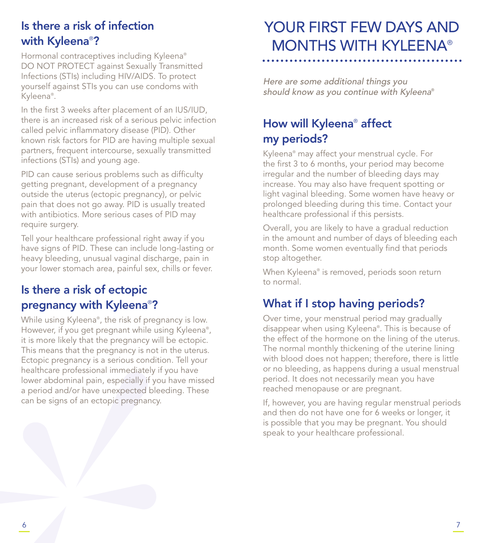# Is there a risk of infection with Kyleena® ?

Hormonal contraceptives including Kyleena® DO NOT PROTECT against Sexually Transmitted Infections (STIs) including HIV/AIDS. To protect yourself against STIs you can use condoms with Kyleena® .

In the first 3 weeks after placement of an IUS/IUD, there is an increased risk of a serious pelvic infection called pelvic inflammatory disease (PID). Other known risk factors for PID are having multiple sexual partners, frequent intercourse, sexually transmitted infections (STIs) and young age.

PID can cause serious problems such as difficulty getting pregnant, development of a pregnancy outside the uterus (ectopic pregnancy), or pelvic pain that does not go away. PID is usually treated with antibiotics. More serious cases of PID may require surgery.

Tell your healthcare professional right away if you have signs of PID. These can include long-lasting or heavy bleeding, unusual vaginal discharge, pain in your lower stomach area, painful sex, chills or fever.

# Is there a risk of ectopic pregnancy with Kyleena® ?

While using Kyleena® , the risk of pregnancy is low. However, if you get pregnant while using Kyleena® , it is more likely that the pregnancy will be ectopic. This means that the pregnancy is not in the uterus. Ectopic pregnancy is a serious condition. Tell your healthcare professional immediately if you have lower abdominal pain, especially if you have missed a period and/or have unexpected bleeding. These can be signs of an ectopic pregnancy.

# YOUR FIRST FEW DAYS AND MONTHS WITH KYLEENA®

Here are some additional things you should know as you continue with Kyleena®

# How will Kyleena® affect my periods?

Kyleena® may affect your menstrual cycle. For the first 3 to 6 months, your period may become irregular and the number of bleeding days may increase. You may also have frequent spotting or light vaginal bleeding. Some women have heavy or prolonged bleeding during this time. Contact your healthcare professional if this persists.

Overall, you are likely to have a gradual reduction in the amount and number of days of bleeding each month. Some women eventually find that periods stop altogether.

When Kyleena® is removed, periods soon return to normal.

# What if I stop having periods?

Over time, your menstrual period may gradually disappear when using Kyleena® . This is because of the effect of the hormone on the lining of the uterus. The normal monthly thickening of the uterine lining with blood does not happen; therefore, there is little or no bleeding, as happens during a usual menstrual period. It does not necessarily mean you have reached menopause or are pregnant.

If, however, you are having regular menstrual periods and then do not have one for 6 weeks or longer, it is possible that you may be pregnant. You should speak to your healthcare professional.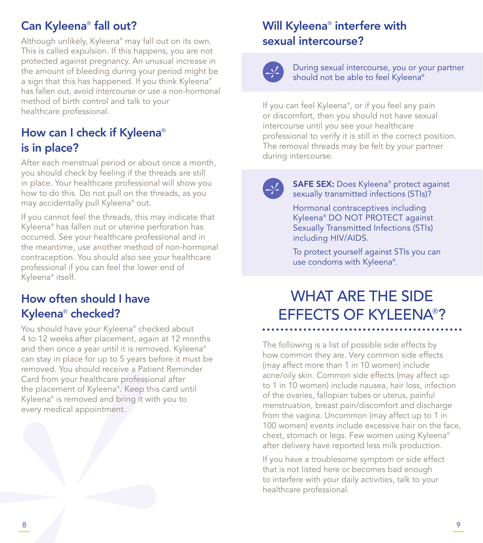# Can Kyleena® fall out?

Although unlikely, Kyleena® may fall out on its own. This is called expulsion. If this happens, you are not protected against pregnancy. An unusual increase in the amount of bleeding during your period might be a sign that this has happened. If you think Kyleena® has fallen out, avoid intercourse or use a non-hormonal method of birth control and talk to your healthcare professional.

# How can I check if Kyleena® is in place?

After each menstrual period or about once a month, you should check by feeling if the threads are still in place. Your healthcare professional will show you how to do this. Do not pull on the threads, as you may accidentally pull Kyleena® out.

If you cannot feel the threads, this may indicate that Kyleena® has fallen out or uterine perforation has occurred. See your healthcare professional and in the meantime, use another method of non-hormonal contraception. You should also see your healthcare professional if you can feel the lower end of Kyleena® itself.

# How often should I have Kyleena® checked?

You should have your Kyleena® checked about 4 to 12 weeks after placement, again at 12 months and then once a year until it is removed. Kyleena® can stay in place for up to 5 years before it must be removed. You should receive a Patient Reminder Card from your healthcare professional after the placement of Kyleena® . Keep this card until Kyleena® is removed and bring it with you to every medical appointment.

# Will Kyleena® interfere with sexual intercourse?

During sexual intercourse, you or your partner should not be able to feel Kyleena®

If you can feel Kyleena® , or if you feel any pain or discomfort, then you should not have sexual intercourse until you see your healthcare professional to verify it is still in the correct position. The removal threads may be felt by your partner during intercourse.

SAFE SEX: Does Kyleena® protect against sexually transmitted infections (STIs)?

Hormonal contraceptives including Kyleena® DO NOT PROTECT against Sexually Transmitted Infections (STIs) including HIV/AIDS.

To protect yourself against STIs you can use condoms with Kyleena® .

# WHAT ARE THE SIDE EFFECTS OF KYLEENA® ?

The following is a list of possible side effects by how common they are. Very common side effects (may affect more than 1 in 10 women) include acne/oily skin. Common side effects (may affect up to 1 in 10 women) include nausea, hair loss, infection of the ovaries, fallopian tubes or uterus, painful menstruation, breast pain/discomfort and discharge from the vagina. Uncommon (may affect up to 1 in 100 women) events include excessive hair on the face, chest, stomach or legs. Few women using Kyleena® after delivery have reported less milk production.

If you have a troublesome symptom or side effect that is not listed here or becomes bad enough to interfere with your daily activities, talk to your healthcare professional.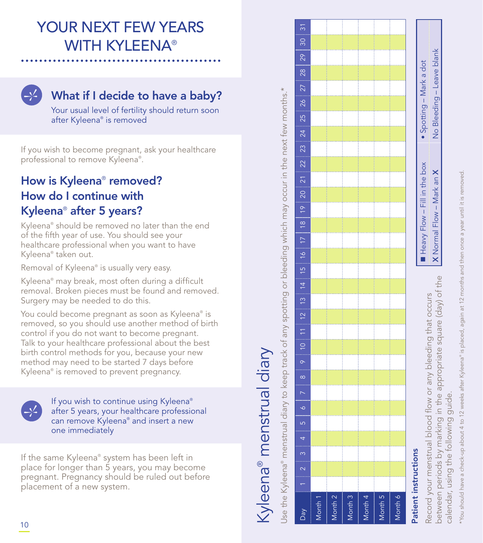Record your menstrual blood flow or any bleeding that occurs between periods by marking in the appropriate square (day) of the

Record your menstrual blood flow or any bleeding that occurs<br>between periods by marking in the appropriate square (day) of the

■ Heavy Flow – Fill in the box • Spotting – Mark a dot X Normal Flow – Mark an X No Bleeding – Leave blank

Heavy Flow - Fill in the box X Normal Flow - Mark an X

 $\ddot{\bullet}$ 

Bleeding - Leave blank

 $\overline{2}$ 

Spotting - Mark a dot

calendar, using the following guide.

endar, using the following

 $\overline{\overline{6}}$ 

guide.

# YOUR NEXT FEW YEARS WITH KYLEENA®



# What if I decide to have a baby?

Your usual level of fertility should return soon after Kyleena ® is removed

If you wish to become pregnant, ask your healthcare professional to remove Kyleena ® .

# How is Kyleena<sup>®</sup> removed? How do I continue with Kyleena ® after 5 years?

Kyleena ® should be removed no later than the end of the fifth year of use. You should see your healthcare professional when you want to have Kyleena ® taken out.

Removal of Kyleena ® is usually very easy.

Kyleena ® may break, most often during a difficult removal. Broken pieces must be found and removed. Surgery may be needed to do this.

You could become pregnant as soon as Kyleena ® is removed, so you should use another method of birth control if you do not want to become pregnant. Talk to your healthcare professional about the best birth control methods for you, because your new method may need to be started 7 days before Kyleena ® is removed to prevent pregnancy.



If you wish to continue using Kyleena ® after 5 years, your healthcare professional can remove Kyleena ® and insert a new one immediately

If the same Kyleena ® system has been left in place for longer than 5 years, you may become pregnant. Pregnancy should be ruled out before placement of a new system.

# Kyleena® menstrual diary Kyleena® menstrual diary

Jse the Kyleena® menstrual diary to keep track of any spotting or bleeding which may occur in the next few months.\* Use the Kyleena® menstrual diary to keep track of any spotting or bleeding which may occur in the next few months.\*